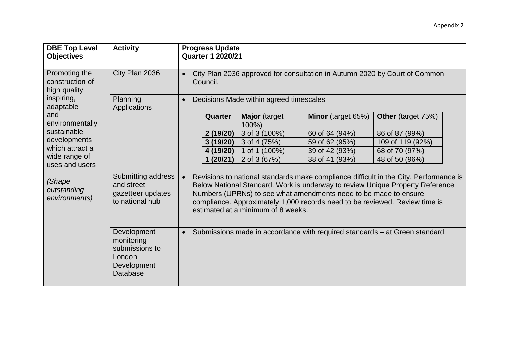| <b>DBE Top Level</b><br><b>Objectives</b>         | <b>Activity</b>                                                                         |                                                      | <b>Progress Update</b><br><b>Quarter 1 2020/21</b>                                     |                                    |                                                                                                                                                 |                                                                                                                                                                        |  |
|---------------------------------------------------|-----------------------------------------------------------------------------------------|------------------------------------------------------|----------------------------------------------------------------------------------------|------------------------------------|-------------------------------------------------------------------------------------------------------------------------------------------------|------------------------------------------------------------------------------------------------------------------------------------------------------------------------|--|
| Promoting the<br>construction of<br>high quality, | City Plan 2036                                                                          | $\bullet$                                            | City Plan 2036 approved for consultation in Autumn 2020 by Court of Common<br>Council. |                                    |                                                                                                                                                 |                                                                                                                                                                        |  |
| inspiring,<br>adaptable                           | Planning<br>Applications                                                                | Decisions Made within agreed timescales<br>$\bullet$ |                                                                                        |                                    |                                                                                                                                                 |                                                                                                                                                                        |  |
| and<br>environmentally                            |                                                                                         |                                                      | <b>Quarter</b>                                                                         | <b>Major</b> (target<br>100%)      | Minor (target 65%)                                                                                                                              | <b>Other</b> (target 75%)                                                                                                                                              |  |
| sustainable                                       |                                                                                         |                                                      | 2(19/20)                                                                               | 3 of 3 (100%)                      | 60 of 64 (94%)                                                                                                                                  | 86 of 87 (99%)                                                                                                                                                         |  |
| developments                                      |                                                                                         |                                                      | 3(19/20)                                                                               | 3 of 4 (75%)                       | 59 of 62 (95%)                                                                                                                                  | 109 of 119 (92%)                                                                                                                                                       |  |
| which attract a                                   |                                                                                         |                                                      | 4 (19/20)                                                                              | 1 of 1 (100%)                      | 39 of 42 (93%)                                                                                                                                  | 68 of 70 (97%)                                                                                                                                                         |  |
| wide range of<br>uses and users                   |                                                                                         |                                                      | (20/21)                                                                                | 2 of 3 (67%)                       | 38 of 41 (93%)                                                                                                                                  | 48 of 50 (96%)                                                                                                                                                         |  |
| (Shape<br>outstanding<br>environments)            | Submitting address<br>and street<br>gazetteer updates<br>to national hub                |                                                      |                                                                                        | estimated at a minimum of 8 weeks. | Numbers (UPRNs) to see what amendments need to be made to ensure<br>compliance. Approximately 1,000 records need to be reviewed. Review time is | Revisions to national standards make compliance difficult in the City. Performance is<br>Below National Standard. Work is underway to review Unique Property Reference |  |
|                                                   | Development<br>monitoring<br>submissions to<br>London<br>Development<br><b>Database</b> | $\bullet$                                            |                                                                                        |                                    | Submissions made in accordance with required standards – at Green standard.                                                                     |                                                                                                                                                                        |  |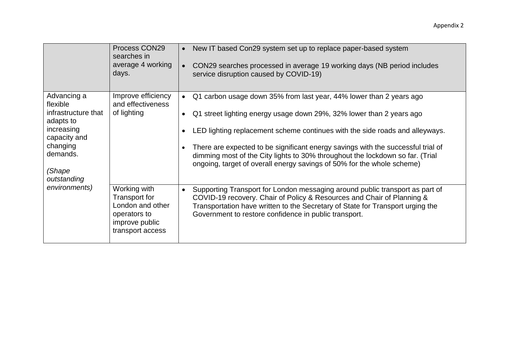|                                                | Process CON29<br>searches in<br>average 4 working                                   | New IT based Con29 system set up to replace paper-based system<br>$\bullet$<br>CON29 searches processed in average 19 working days (NB period includes                                                                                                                                                         |
|------------------------------------------------|-------------------------------------------------------------------------------------|----------------------------------------------------------------------------------------------------------------------------------------------------------------------------------------------------------------------------------------------------------------------------------------------------------------|
|                                                | days.                                                                               | service disruption caused by COVID-19)                                                                                                                                                                                                                                                                         |
| Advancing a<br>flexible<br>infrastructure that | Improve efficiency<br>and effectiveness<br>of lighting                              | Q1 carbon usage down 35% from last year, 44% lower than 2 years ago<br>$\bullet$                                                                                                                                                                                                                               |
| adapts to<br>increasing                        |                                                                                     | Q1 street lighting energy usage down 29%, 32% lower than 2 years ago<br>$\bullet$<br>LED lighting replacement scheme continues with the side roads and alleyways.                                                                                                                                              |
| capacity and<br>changing                       |                                                                                     | There are expected to be significant energy savings with the successful trial of                                                                                                                                                                                                                               |
| demands.                                       |                                                                                     | dimming most of the City lights to 30% throughout the lockdown so far. (Trial<br>ongoing, target of overall energy savings of 50% for the whole scheme)                                                                                                                                                        |
| (Shape<br>outstanding                          |                                                                                     |                                                                                                                                                                                                                                                                                                                |
| environments)                                  | Working with<br>Transport for<br>London and other<br>operators to<br>improve public | Supporting Transport for London messaging around public transport as part of<br>$\bullet$<br>COVID-19 recovery. Chair of Policy & Resources and Chair of Planning &<br>Transportation have written to the Secretary of State for Transport urging the<br>Government to restore confidence in public transport. |
|                                                | transport access                                                                    |                                                                                                                                                                                                                                                                                                                |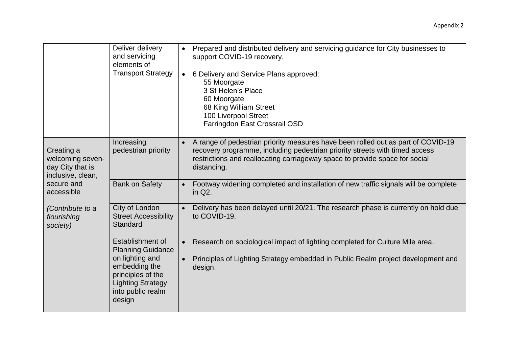|                                                                         | Deliver delivery<br>and servicing<br>elements of<br><b>Transport Strategy</b>                                                                                    | Prepared and distributed delivery and servicing guidance for City businesses to<br>support COVID-19 recovery.<br>6 Delivery and Service Plans approved:<br>$\bullet$<br>55 Moorgate<br>3 St Helen's Place<br>60 Moorgate<br>68 King William Street<br>100 Liverpool Street<br>Farringdon East Crossrail OSD |
|-------------------------------------------------------------------------|------------------------------------------------------------------------------------------------------------------------------------------------------------------|-------------------------------------------------------------------------------------------------------------------------------------------------------------------------------------------------------------------------------------------------------------------------------------------------------------|
| Creating a<br>welcoming seven-<br>day City that is<br>inclusive, clean, | Increasing<br>pedestrian priority                                                                                                                                | A range of pedestrian priority measures have been rolled out as part of COVID-19<br>recovery programme, including pedestrian priority streets with timed access<br>restrictions and reallocating carriageway space to provide space for social<br>distancing.                                               |
| secure and<br>accessible                                                | <b>Bank on Safety</b>                                                                                                                                            | Footway widening completed and installation of new traffic signals will be complete<br>$\bullet$<br>in Q2.                                                                                                                                                                                                  |
| (Contribute to a<br>flourishing<br>society)                             | City of London<br><b>Street Accessibility</b><br>Standard                                                                                                        | Delivery has been delayed until 20/21. The research phase is currently on hold due<br>to COVID-19.                                                                                                                                                                                                          |
|                                                                         | Establishment of<br><b>Planning Guidance</b><br>on lighting and<br>embedding the<br>principles of the<br><b>Lighting Strategy</b><br>into public realm<br>design | Research on sociological impact of lighting completed for Culture Mile area.<br>$\bullet$<br>Principles of Lighting Strategy embedded in Public Realm project development and<br>design.                                                                                                                    |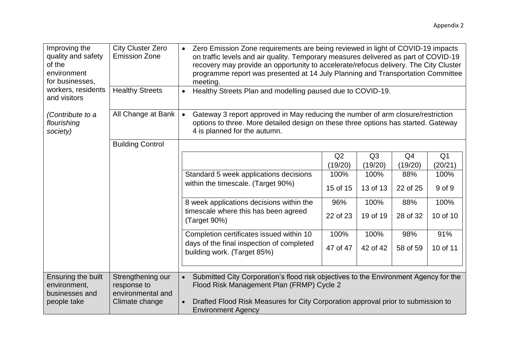| Improving the<br>quality and safety<br>of the<br>environment<br>for businesses,<br>workers, residents | <b>City Cluster Zero</b><br><b>Emission Zone</b><br><b>Healthy Streets</b> | • Zero Emission Zone requirements are being reviewed in light of COVID-19 impacts<br>on traffic levels and air quality. Temporary measures delivered as part of COVID-19<br>recovery may provide an opportunity to accelerate/refocus delivery. The City Cluster<br>programme report was presented at 14 July Planning and Transportation Committee<br>meeting.<br>Healthy Streets Plan and modelling paused due to COVID-19.<br>$\bullet$ |                |                |                |                |  |
|-------------------------------------------------------------------------------------------------------|----------------------------------------------------------------------------|--------------------------------------------------------------------------------------------------------------------------------------------------------------------------------------------------------------------------------------------------------------------------------------------------------------------------------------------------------------------------------------------------------------------------------------------|----------------|----------------|----------------|----------------|--|
| and visitors                                                                                          | All Change at Bank                                                         |                                                                                                                                                                                                                                                                                                                                                                                                                                            |                |                |                |                |  |
| (Contribute to a<br>flourishing<br>society)                                                           |                                                                            | Gateway 3 report approved in May reducing the number of arm closure/restriction<br>options to three. More detailed design on these three options has started. Gateway<br>4 is planned for the autumn.                                                                                                                                                                                                                                      |                |                |                |                |  |
|                                                                                                       | <b>Building Control</b>                                                    |                                                                                                                                                                                                                                                                                                                                                                                                                                            |                |                |                |                |  |
|                                                                                                       |                                                                            |                                                                                                                                                                                                                                                                                                                                                                                                                                            | Q <sub>2</sub> | Q <sub>3</sub> | Q <sub>4</sub> | Q <sub>1</sub> |  |
|                                                                                                       |                                                                            |                                                                                                                                                                                                                                                                                                                                                                                                                                            | (19/20)        | (19/20)        | (19/20)        | (20/21)        |  |
|                                                                                                       |                                                                            | Standard 5 week applications decisions                                                                                                                                                                                                                                                                                                                                                                                                     | 100%           | 100%           | 88%            | 100%           |  |
|                                                                                                       |                                                                            | within the timescale. (Target 90%)                                                                                                                                                                                                                                                                                                                                                                                                         | 15 of 15       | 13 of 13       | 22 of 25       | 9 of 9         |  |
|                                                                                                       |                                                                            | 8 week applications decisions within the                                                                                                                                                                                                                                                                                                                                                                                                   | 96%            | 100%           | 88%            | 100%           |  |
|                                                                                                       |                                                                            | timescale where this has been agreed<br>(Target 90%)                                                                                                                                                                                                                                                                                                                                                                                       | 22 of 23       | 19 of 19       | 28 of 32       | 10 of 10       |  |
|                                                                                                       |                                                                            | Completion certificates issued within 10                                                                                                                                                                                                                                                                                                                                                                                                   | 100%           | 100%           | 98%            | 91%            |  |
|                                                                                                       |                                                                            | days of the final inspection of completed<br>building work. (Target 85%)                                                                                                                                                                                                                                                                                                                                                                   | 47 of 47       | 42 of 42       | 58 of 59       | 10 of 11       |  |
|                                                                                                       |                                                                            |                                                                                                                                                                                                                                                                                                                                                                                                                                            |                |                |                |                |  |
| Ensuring the built<br>environment,<br>businesses and                                                  | Strengthening our<br>response to<br>environmental and                      | Submitted City Corporation's flood risk objectives to the Environment Agency for the<br>Flood Risk Management Plan (FRMP) Cycle 2                                                                                                                                                                                                                                                                                                          |                |                |                |                |  |
| people take                                                                                           | Climate change                                                             | Drafted Flood Risk Measures for City Corporation approval prior to submission to<br><b>Environment Agency</b>                                                                                                                                                                                                                                                                                                                              |                |                |                |                |  |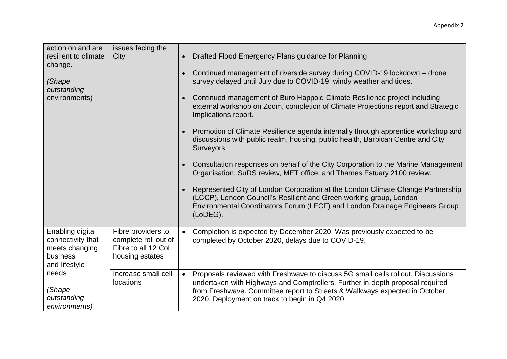| action on and are<br>resilient to climate<br>change.                                 | issues facing the<br>City                                                            | Drafted Flood Emergency Plans guidance for Planning<br>Continued management of riverside survey during COVID-19 lockdown - drone                                                                                                                                                                               |
|--------------------------------------------------------------------------------------|--------------------------------------------------------------------------------------|----------------------------------------------------------------------------------------------------------------------------------------------------------------------------------------------------------------------------------------------------------------------------------------------------------------|
| (Shape<br>outstanding                                                                |                                                                                      | survey delayed until July due to COVID-19, windy weather and tides.                                                                                                                                                                                                                                            |
| environments)                                                                        |                                                                                      | Continued management of Buro Happold Climate Resilience project including<br>external workshop on Zoom, completion of Climate Projections report and Strategic<br>Implications report.                                                                                                                         |
|                                                                                      |                                                                                      | Promotion of Climate Resilience agenda internally through apprentice workshop and<br>discussions with public realm, housing, public health, Barbican Centre and City<br>Surveyors.                                                                                                                             |
|                                                                                      |                                                                                      | Consultation responses on behalf of the City Corporation to the Marine Management<br>Organisation, SuDS review, MET office, and Thames Estuary 2100 review.                                                                                                                                                    |
|                                                                                      |                                                                                      | Represented City of London Corporation at the London Climate Change Partnership<br>(LCCP), London Council's Resilient and Green working group, London<br>Environmental Coordinators Forum (LECF) and London Drainage Engineers Group<br>(LoDEG).                                                               |
| Enabling digital<br>connectivity that<br>meets changing<br>business<br>and lifestyle | Fibre providers to<br>complete roll out of<br>Fibre to all 12 CoL<br>housing estates | Completion is expected by December 2020. Was previously expected to be<br>$\bullet$<br>completed by October 2020, delays due to COVID-19.                                                                                                                                                                      |
| needs<br>(Shape<br>outstanding<br>environments)                                      | Increase small cell<br>locations                                                     | Proposals reviewed with Freshwave to discuss 5G small cells rollout. Discussions<br>$\bullet$<br>undertaken with Highways and Comptrollers. Further in-depth proposal required<br>from Freshwave. Committee report to Streets & Walkways expected in October<br>2020. Deployment on track to begin in Q4 2020. |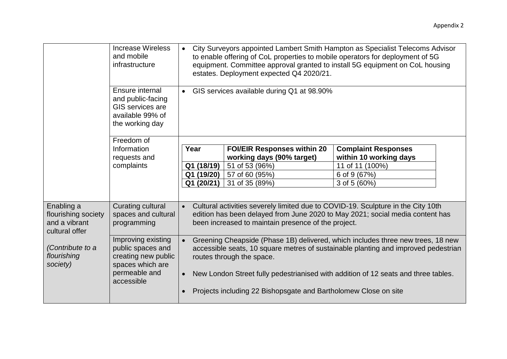|                                                                      | <b>Increase Wireless</b><br>and mobile<br>infrastructure                                                          | City Surveyors appointed Lambert Smith Hampton as Specialist Telecoms Advisor<br>to enable offering of CoL properties to mobile operators for deployment of 5G<br>equipment. Committee approval granted to install 5G equipment on CoL housing<br>estates. Deployment expected Q4 2020/21.            |                                                                 |                                                                                                                                                                   |  |
|----------------------------------------------------------------------|-------------------------------------------------------------------------------------------------------------------|-------------------------------------------------------------------------------------------------------------------------------------------------------------------------------------------------------------------------------------------------------------------------------------------------------|-----------------------------------------------------------------|-------------------------------------------------------------------------------------------------------------------------------------------------------------------|--|
|                                                                      | Ensure internal<br>and public-facing<br>GIS services are<br>available 99% of<br>the working day                   | GIS services available during Q1 at 98.90%<br>$\bullet$                                                                                                                                                                                                                                               |                                                                 |                                                                                                                                                                   |  |
|                                                                      | Freedom of                                                                                                        |                                                                                                                                                                                                                                                                                                       |                                                                 |                                                                                                                                                                   |  |
|                                                                      | Information                                                                                                       | Year                                                                                                                                                                                                                                                                                                  | <b>FOI/EIR Responses within 20</b>                              | <b>Complaint Responses</b>                                                                                                                                        |  |
|                                                                      | requests and                                                                                                      |                                                                                                                                                                                                                                                                                                       | working days (90% target)                                       | within 10 working days                                                                                                                                            |  |
|                                                                      | complaints                                                                                                        | Q1 (18/19)                                                                                                                                                                                                                                                                                            | 51 of 53 (96%)                                                  | 11 of 11 (100%)                                                                                                                                                   |  |
|                                                                      |                                                                                                                   | Q1 (19/20)                                                                                                                                                                                                                                                                                            | 57 of 60 (95%)                                                  | 6 of 9 (67%)                                                                                                                                                      |  |
|                                                                      |                                                                                                                   | Q1 (20/21)                                                                                                                                                                                                                                                                                            | 31 of 35 (89%)                                                  | 3 of 5 (60%)                                                                                                                                                      |  |
|                                                                      |                                                                                                                   |                                                                                                                                                                                                                                                                                                       |                                                                 |                                                                                                                                                                   |  |
| Enabling a<br>flourishing society<br>and a vibrant<br>cultural offer | Curating cultural<br>spaces and cultural<br>programming                                                           |                                                                                                                                                                                                                                                                                                       | been increased to maintain presence of the project.             | Cultural activities severely limited due to COVID-19. Sculpture in the City 10th<br>edition has been delayed from June 2020 to May 2021; social media content has |  |
| (Contribute to a<br>flourishing<br>society)                          | Improving existing<br>public spaces and<br>creating new public<br>spaces which are<br>permeable and<br>accessible | Greening Cheapside (Phase 1B) delivered, which includes three new trees, 18 new<br>accessible seats, 10 square metres of sustainable planting and improved pedestrian<br>routes through the space.<br>New London Street fully pedestrianised with addition of 12 seats and three tables.<br>$\bullet$ |                                                                 |                                                                                                                                                                   |  |
|                                                                      |                                                                                                                   |                                                                                                                                                                                                                                                                                                       | Projects including 22 Bishopsgate and Bartholomew Close on site |                                                                                                                                                                   |  |